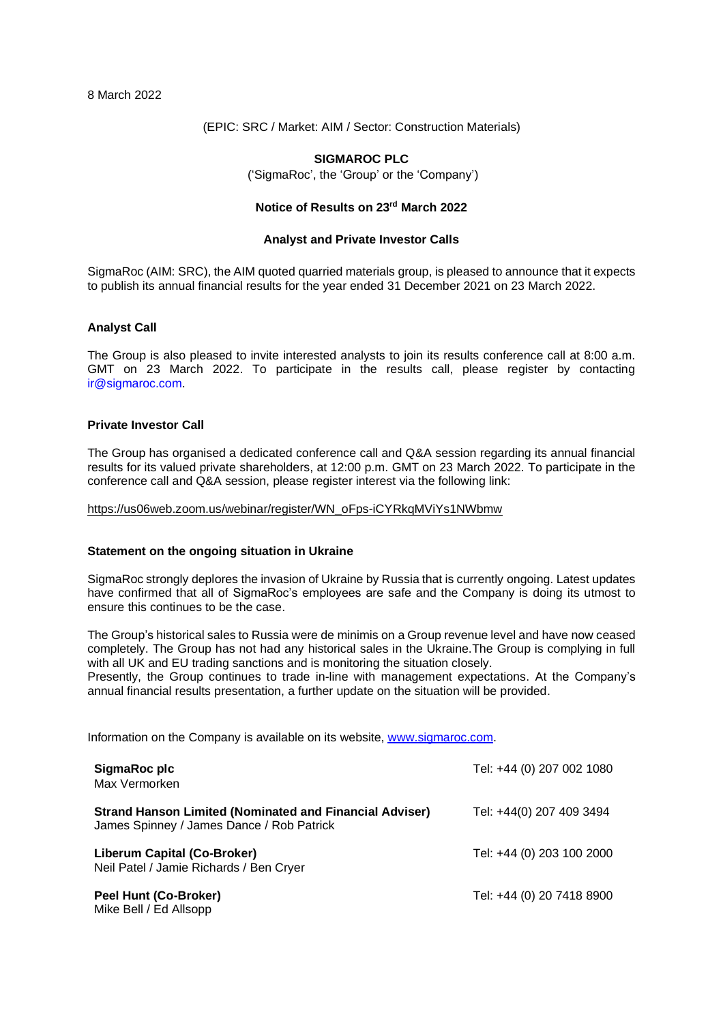8 March 2022

(EPIC: SRC / Market: AIM / Sector: Construction Materials)

## **SIGMAROC PLC**

('SigmaRoc', the 'Group' or the 'Company')

# **Notice of Results on 23rd March 2022**

### **Analyst and Private Investor Calls**

SigmaRoc (AIM: SRC), the AIM quoted quarried materials group, is pleased to announce that it expects to publish its annual financial results for the year ended 31 December 2021 on 23 March 2022.

### **Analyst Call**

The Group is also pleased to invite interested analysts to join its results conference call at 8:00 a.m. GMT on 23 March 2022. To participate in the results call, please register by contacting ir@sigmaroc.com.

### **Private Investor Call**

The Group has organised a dedicated conference call and Q&A session regarding its annual financial results for its valued private shareholders, at 12:00 p.m. GMT on 23 March 2022. To participate in the conference call and Q&A session, please register interest via the following link:

[https://us06web.zoom.us/webinar/register/WN\\_oFps-iCYRkqMViYs1NWbmw](https://us06web.zoom.us/webinar/register/WN_oFps-iCYRkqMViYs1NWbmw)

#### **Statement on the ongoing situation in Ukraine**

SigmaRoc strongly deplores the invasion of Ukraine by Russia that is currently ongoing. Latest updates have confirmed that all of SigmaRoc's employees are safe and the Company is doing its utmost to ensure this continues to be the case.

The Group's historical sales to Russia were de minimis on a Group revenue level and have now ceased completely. The Group has not had any historical sales in the Ukraine.The Group is complying in full with all UK and EU trading sanctions and is monitoring the situation closely.

Presently, the Group continues to trade in-line with management expectations. At the Company's annual financial results presentation, a further update on the situation will be provided.

Information on the Company is available on its website, [www.sigmaroc.com.](http://www.sigmaroc.com/)

| SigmaRoc plc<br>Max Vermorken                                                                               | Tel: +44 (0) 207 002 1080 |
|-------------------------------------------------------------------------------------------------------------|---------------------------|
| <b>Strand Hanson Limited (Nominated and Financial Adviser)</b><br>James Spinney / James Dance / Rob Patrick | Tel: +44(0) 207 409 3494  |
| Liberum Capital (Co-Broker)<br>Neil Patel / Jamie Richards / Ben Cryer                                      | Tel: +44 (0) 203 100 2000 |
| Peel Hunt (Co-Broker)<br>Mike Bell / Ed Allsopp                                                             | Tel: +44 (0) 20 7418 8900 |